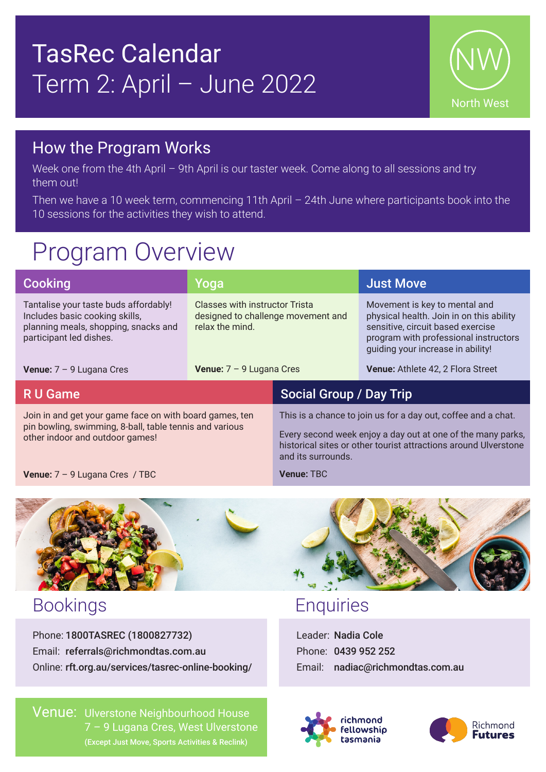## TasRec Calendar Term 2: April – June 2022



#### How the Program Works

Week one from the 4th April - 9th April is our taster week. Come along to all sessions and try them out!

Then we have a 10 week term, commencing 11th April – 24th June where participants book into the 10 sessions for the activities they wish to attend.

### Program Overview

| <b>Cooking</b>                                                                                                                             | Yoga                                                                                    |                                                               | <b>Just Move</b>                                                                                                                                                                             |  |
|--------------------------------------------------------------------------------------------------------------------------------------------|-----------------------------------------------------------------------------------------|---------------------------------------------------------------|----------------------------------------------------------------------------------------------------------------------------------------------------------------------------------------------|--|
| Tantalise your taste buds affordably!<br>Includes basic cooking skills,<br>planning meals, shopping, snacks and<br>participant led dishes. | Classes with instructor Trista<br>designed to challenge movement and<br>relax the mind. |                                                               | Movement is key to mental and<br>physical health. Join in on this ability<br>sensitive, circuit based exercise<br>program with professional instructors<br>guiding your increase in ability! |  |
| <b>Venue:</b> $7 - 9$ Lugana Cres                                                                                                          | <b>Venue:</b> $7 - 9$ Lugana Cres                                                       |                                                               | Venue: Athlete 42, 2 Flora Street                                                                                                                                                            |  |
| R U Game                                                                                                                                   |                                                                                         | <b>Social Group / Day Trip</b>                                |                                                                                                                                                                                              |  |
| Join in and get your game face on with board games, ten                                                                                    |                                                                                         | This is a chance to join us for a day out, coffee and a chat. |                                                                                                                                                                                              |  |

a get your game pin bowling, swimming, 8-ball, table tennis and various other indoor and outdoor games!

**Venue:** 7 – 9 Lugana Cres / TBC

**Venue:** TBC

and its surrounds.

Leader: Nadia Cole Phone: 0439 952 252

Email: nadiac@richmondtas.com.au



Phone: 1800TASREC (1800827732) Email: referrals@richmondtas.com.au Online: rft.org.au/services/tasrec-online-booking/

Venue: Ulverstone Neighbourhood House 7 – 9 Lugana Cres, West Ulverstone (Except Just Move, Sports Activities & Reclink)



Every second week enjoy a day out at one of the many parks, historical sites or other tourist attractions around Ulverstone